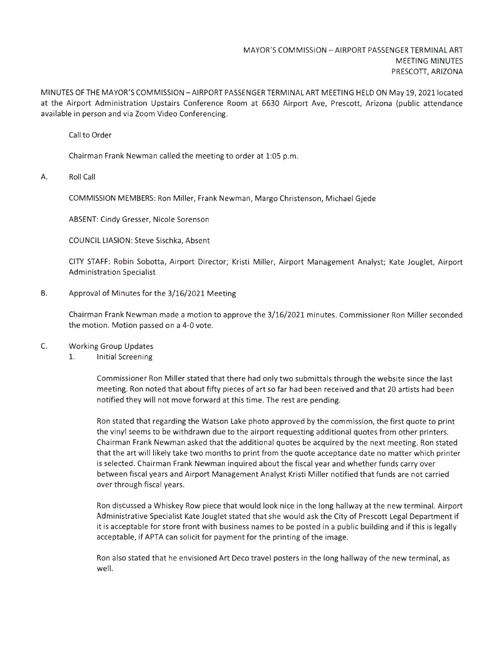MINUTES OF THE MAYOR'S COMMISSION - AIRPORT PASSENGER TERMINAL ART MEETING HELD ON May 19, 2021 located at the Airport Administration Upstairs Conference Room at 6630 Airport Ave, Prescott, Arizona (public attendance available in person and via Zoom Video Conferencing.

Call to Order

Chairman Frank Newman called the meeting to order at 1:05 p.m.

A. Roll Call

COMMISSION MEMBERS: Ron Miller, Frank Newman, Margo Christenson, Michael Gjede

ABSENT: Cindy Gresser, Nicole Sorenson

COUNCIL LIASION: Steve Sischka, Absent

CITY STAFF: Robin Sobotta, Airport Director; Kristi Miller, Airport Management Analyst; Kate Jouglet, Airport Administration Specialist

B. Approval of Minutes for the 3/16/2021 Meeting

Chairman Frank Newman made a motion to approve the 3/16/2021 minutes. Commissioner Ron Miller seconded the motion. Motion passed on a 4-0 vote.

C. Working Group Updates

1. Initial Screening

Commissioner Ron Miller stated that there had only two submittals through the website since the last meeting. Ron noted that about fifty pieces of art so far had been received and that 20 artists had been notified they will not move forward at this time. The rest are pending.

Ron stated that regarding the Watson Lake photo approved by the commission, the first quote to print the vinyl seems to be withdrawn due to the airport requesting additional quotes from other printers. Chairman Frank Newman asked that the additional quotes be acquired by the next meeting. Ron stated that the art will likely take two months to print from the quote acceptance date no matter which printer is selected. Chairman Frank Newman inquired about the fiscal year and whether funds carry over between fiscal years and Airport Management Analyst Kristi Miller notified that funds are not carried over through fiscal years.

Ron discussed a Whiskey Row piece that would look nice in the long hallway at the new terminal. Airport Administrative Specialist Kate Jouglet stated that she would ask the City of Prescott Legal Department if it is acceptable for store front with business names to be posted in a public building and if this is legally acceptable, if APTA can solicit for payment for the printing of the image.

Ron also stated that he envisioned Art Deco travel posters in the long hallway of the new terminal, as well.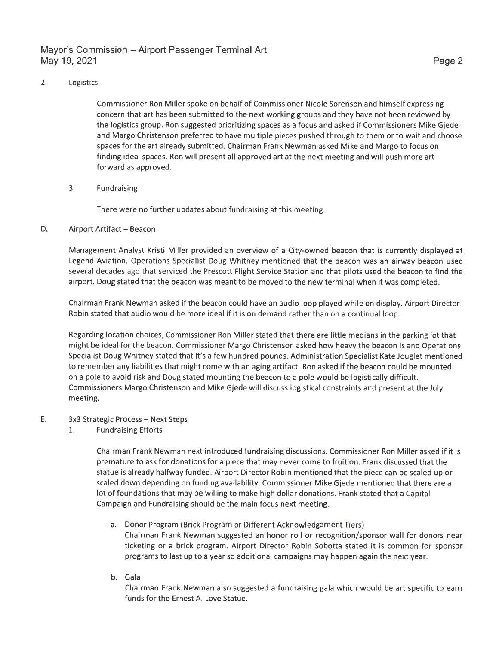## Mayor's Commission - Airport Passenger Terminal Art May 19, 2021

#### 2. Logistics

Commissioner Ron Miller spoke on behalf of Commissioner Nicole Sorenson and himself expressing concern that art has been submitted to the next working groups and they have not been reviewed by the logistics group. Ron suggested prioritizing spaces as a focus and asked if Commissioners Mike Gjede and Margo Christenson preferred to have multiple pieces pushed through to them or to wait and choose spaces for the art already submitted. Chairman Frank Newman asked Mike and Margo to focus on finding ideal spaces. Ron will present all approved art at the next meeting and will push more art forward as approved.

#### 3. Fundraising

There were no further updates about fundraising at this meeting.

#### D. Airport Artifact - Beacon

Management Analyst Kristi Miller provided an overview of a City-owned beacon that is currently displayed at Legend Aviation. Operations Specialist Doug Whitney mentioned that the beacon was an airway beacon used several decades ago that serviced the Prescott Flight Service Station and that pilots used the beacon to find the airport. Doug stated that the beacon was meant to be moved to the new terminal when it was completed.

Chairman Frank Newman asked if the beacon could have an audio loop played while on display. Airport Director Robin stated that audio would be more ideal if it is on demand rather than on a continual loop.

Regarding location choices, Commissioner Ron Miller stated that there are little medians in the parking lot that might be ideal for the beacon. Commissioner Margo Christenson asked how heavy the beacon is and Operations Specialist Doug Whitney stated that it's a few hundred pounds. Administration Specialist Kate Jouglet mentioned to remember any liabilities that might come with an aging artifact. Ron asked if the beacon could be mounted on a pole to avoid risk and Doug stated mounting the beacon to a pole would be logistically difficult. Commissioners Margo Christenson and Mike Gjede will discuss logistical constraints and present at the July meeting.

### E. 3x3 Strategic Process - Next Steps

1. Fundraising Efforts

Chairman Frank Newman next introduced fundraising discussions. Commissioner Ron Miller asked if it is premature to ask for donations for a piece that may never come to fruition. Frank discussed that the statue is already halfway funded. Airport Director Robin mentioned that the piece can be scaled up or scaled down depending on funding availability. Commissioner Mike Gjede mentioned that there are a lot of foundations that may be willing to make high dollar donations. Frank stated that a Capital Campaign and Fundraising should be the main focus next meeting.

- a. Donor Program (Brick Program or Different Acknowledgement Tiers) Chairman Frank Newman suggested an honor roll or recognition/sponsor wall for donors near ticketing or a brick program. Airport Director Robin Sobotta stated it is common for sponsor programs to last up to a year so additional campaigns may happen again the next year.
- b. Gala

Chairman Frank Newman also suggested a fundraising gala which would be art specific to earn funds for the Ernest A. Love Statue.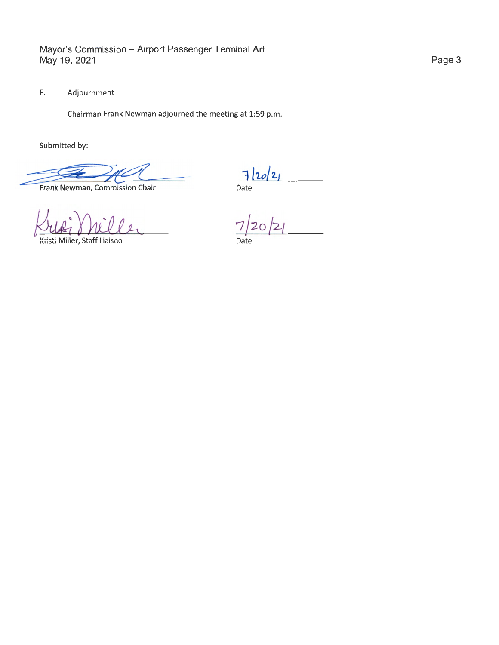F. Adjournment

Chairman Frank Newman adjourned the meeting at 1:59 p.m.

Submitted by:

Submitted by:<br>
Frank Newman, Commission Chair Date

Kufi Miller

Kristi Miller, Staff Liaison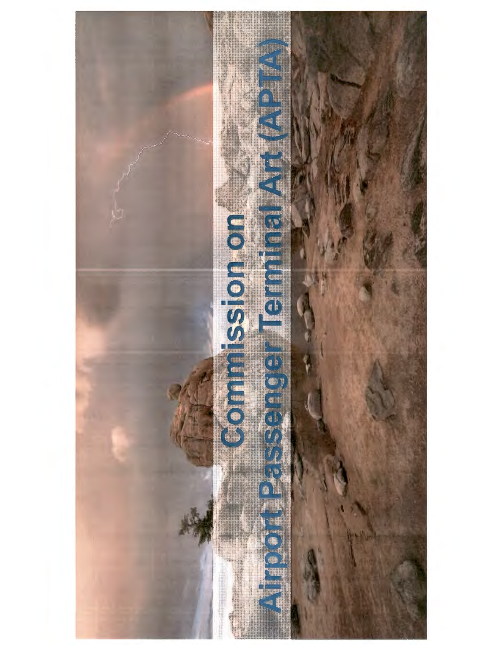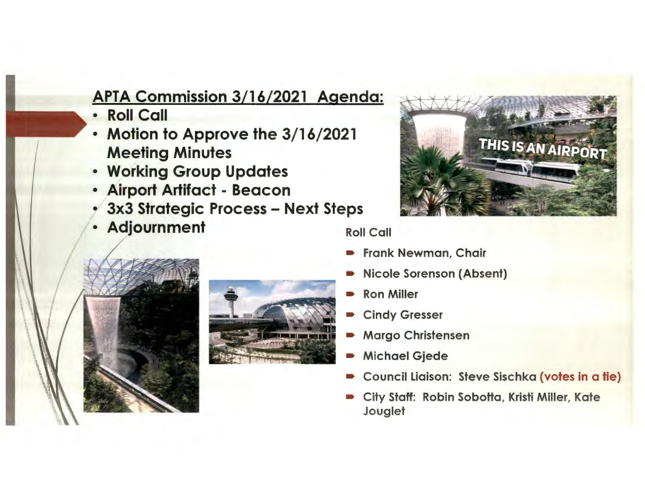## APTA Commission 3/16/2021 Agenda:

- Roll Call
- Motion to Approve the 3/16/2021 Meeting Minutes
- Working Group Updates
- Airport Artifact Beacon
- 3x3 Strategic Process Next Steps
- Adjournment Roll Call



- Frank Newman, Chair
- Nicole Sorenson (Absent)
- Ron Miller
- **Cindy Gresser**
- Margo Christensen
- Michael Gjede
- Council Liaison: Steve Sischka {votes in a tie)
- City Staff: Robin Sobotta, Kristi Miller, Kate **Jouglet**



I l ,t /

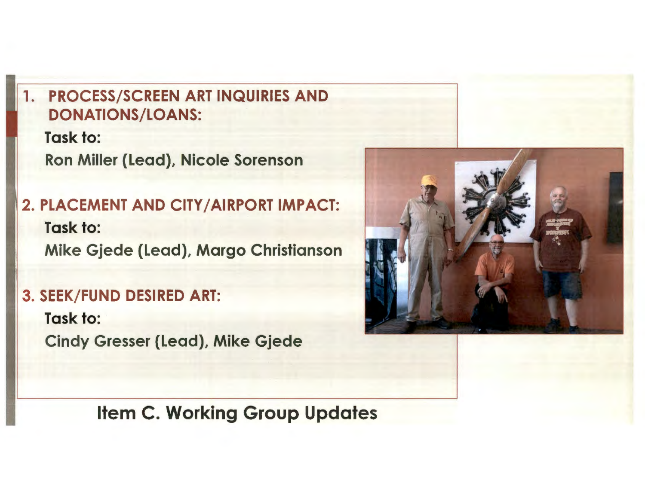## 1. PROCESS/SCREEN ART INQUIRIES AND DONATIONS/LOANS:

Task to: Ron Miller (Lead), Nicole Sorenson

2. PLACEMENT AND CITY/AIRPORT IMPACT: Task to: Mike Gjede (Lead), Margo Christianson

## 3. SEEK/FUND DESIRED ART:

Task to: Cindy Gresser (Lead), Mike Gjede



Item C. Working Group Updates